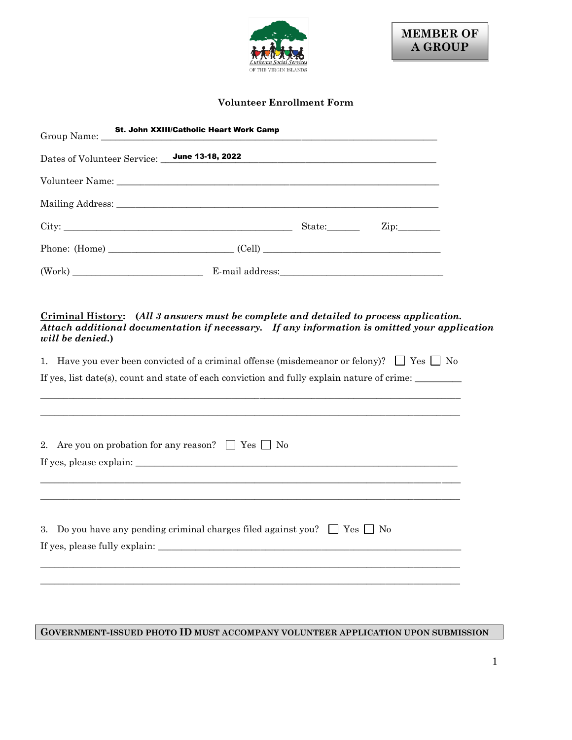

## **Volunteer Enrollment Form**

| Group Name: _    | <b>St. John XXIII/Catholic Heart Work Camp</b>                                                                                                                                         |                             |  |
|------------------|----------------------------------------------------------------------------------------------------------------------------------------------------------------------------------------|-----------------------------|--|
|                  | Dates of Volunteer Service: June 13-18, 2022                                                                                                                                           |                             |  |
|                  |                                                                                                                                                                                        |                             |  |
|                  |                                                                                                                                                                                        |                             |  |
|                  |                                                                                                                                                                                        | $\mathop{\rm Zip}\nolimits$ |  |
|                  |                                                                                                                                                                                        |                             |  |
|                  |                                                                                                                                                                                        |                             |  |
|                  |                                                                                                                                                                                        |                             |  |
| will be denied.) | Criminal History: (All 3 answers must be complete and detailed to process application.<br>Attach additional documentation if necessary. If any information is omitted your application |                             |  |
|                  | 1. Have you ever been convicted of a criminal offense (misdemeanor or felony)? $\Box$ Yes $\Box$ No                                                                                    |                             |  |
|                  | If yes, list date(s), count and state of each conviction and fully explain nature of crime:                                                                                            |                             |  |
|                  |                                                                                                                                                                                        |                             |  |
|                  |                                                                                                                                                                                        |                             |  |
|                  | 2. Are you on probation for any reason? $\Box$ Yes $\Box$ No                                                                                                                           |                             |  |
|                  |                                                                                                                                                                                        |                             |  |
|                  |                                                                                                                                                                                        |                             |  |
|                  |                                                                                                                                                                                        |                             |  |
|                  | 3. Do you have any pending criminal charges filed against you? $\Box$ Yes $\Box$ No                                                                                                    |                             |  |
|                  | If yes, please fully explain:                                                                                                                                                          |                             |  |
|                  |                                                                                                                                                                                        |                             |  |
|                  |                                                                                                                                                                                        |                             |  |

**GOVERNMENT-ISSUED PHOTO ID MUST ACCOMPANY VOLUNTEER APPLICATION UPON SUBMISSION**